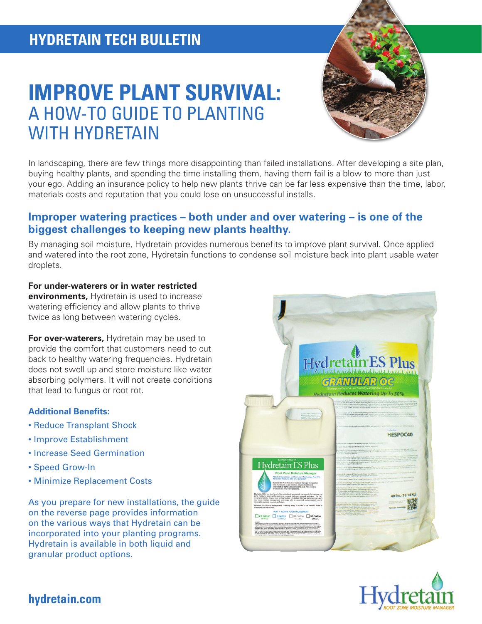# **IMPROVE PLANT SURVIVAL:**  A HOW-TO GUIDE TO PLANTING WITH HYDRETAIN



In landscaping, there are few things more disappointing than failed installations. After developing a site plan, buying healthy plants, and spending the time installing them, having them fail is a blow to more than just your ego. Adding an insurance policy to help new plants thrive can be far less expensive than the time, labor, materials costs and reputation that you could lose on unsuccessful installs.

## **Improper watering practices – both under and over watering – is one of the biggest challenges to keeping new plants healthy.**

By managing soil moisture, Hydretain provides numerous benefits to improve plant survival. Once applied and watered into the root zone, Hydretain functions to condense soil moisture back into plant usable water droplets.

#### **For under-waterers or in water restricted**

**environments,** Hydretain is used to increase watering efficiency and allow plants to thrive twice as long between watering cycles.

**For over-waterers,** Hydretain may be used to provide the comfort that customers need to cut back to healthy watering frequencies. Hydretain does not swell up and store moisture like water absorbing polymers. It will not create conditions that lead to fungus or root rot.

#### **Additional Benefits:**

- Reduce Transplant Shock
- Improve Establishment
- Increase Seed Germination
- Speed Grow-In
- Minimize Replacement Costs

As you prepare for new installations, the guide on the reverse page provides information on the various ways that Hydretain can be incorporated into your planting programs. Hydretain is available in both liquid and granular product options.





## **hydretain.com**